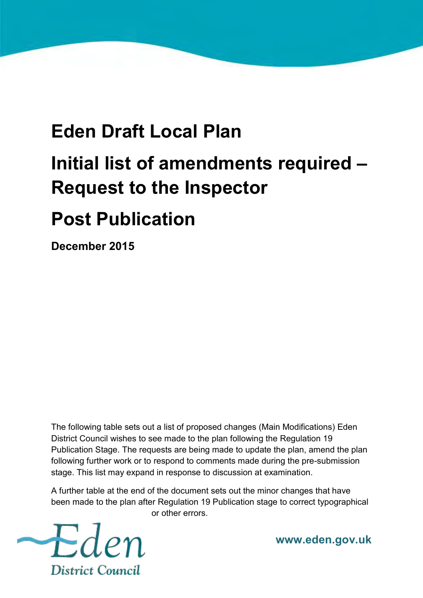## **Eden Draft Local Plan Initial list of amendments required – Request to the Inspector**

**Post Publication** 

**December 2015** 

The following table sets out a list of proposed changes (Main Modifications) Eden District Council wishes to see made to the plan following the Regulation 19 Publication Stage. The requests are being made to update the plan, amend the plan following further work or to respond to comments made during the pre-submission stage. This list may expand in response to discussion at examination.

A further table at the end of the document sets out the minor changes that have been made to the plan after Regulation 19 Publication stage to correct typographical or other errors.



**www.eden.gov.uk**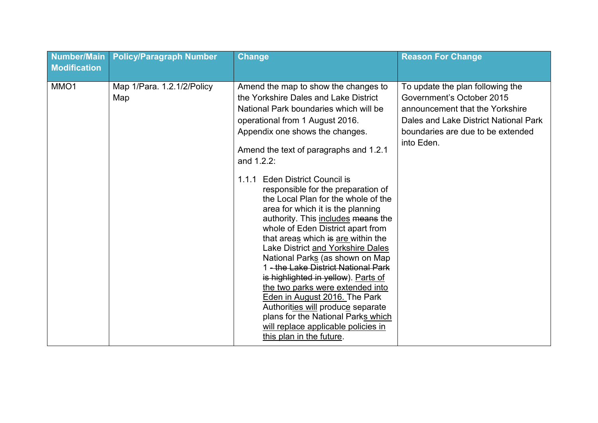| Number/Main<br><b>Modification</b> | <b>Policy/Paragraph Number</b>    | <b>Change</b>                                                                                                                                                                                                                                                                                                                                                                                                                                                                                                                                                                                                                                                                                                                                                                                                                                                                                                 | <b>Reason For Change</b>                                                                                                                                                                     |
|------------------------------------|-----------------------------------|---------------------------------------------------------------------------------------------------------------------------------------------------------------------------------------------------------------------------------------------------------------------------------------------------------------------------------------------------------------------------------------------------------------------------------------------------------------------------------------------------------------------------------------------------------------------------------------------------------------------------------------------------------------------------------------------------------------------------------------------------------------------------------------------------------------------------------------------------------------------------------------------------------------|----------------------------------------------------------------------------------------------------------------------------------------------------------------------------------------------|
| MMO1                               | Map 1/Para. 1.2.1/2/Policy<br>Map | Amend the map to show the changes to<br>the Yorkshire Dales and Lake District<br>National Park boundaries which will be<br>operational from 1 August 2016.<br>Appendix one shows the changes.<br>Amend the text of paragraphs and 1.2.1<br>and 1.2.2:<br><b>Eden District Council is</b><br>1.1.1<br>responsible for the preparation of<br>the Local Plan for the whole of the<br>area for which it is the planning<br>authority. This includes means the<br>whole of Eden District apart from<br>that areas which is are within the<br>Lake District and Yorkshire Dales<br>National Parks (as shown on Map<br>1 - the Lake District National Park<br>is highlighted in yellow). Parts of<br>the two parks were extended into<br>Eden in August 2016. The Park<br>Authorities will produce separate<br>plans for the National Parks which<br>will replace applicable policies in<br>this plan in the future. | To update the plan following the<br>Government's October 2015<br>announcement that the Yorkshire<br>Dales and Lake District National Park<br>boundaries are due to be extended<br>into Eden. |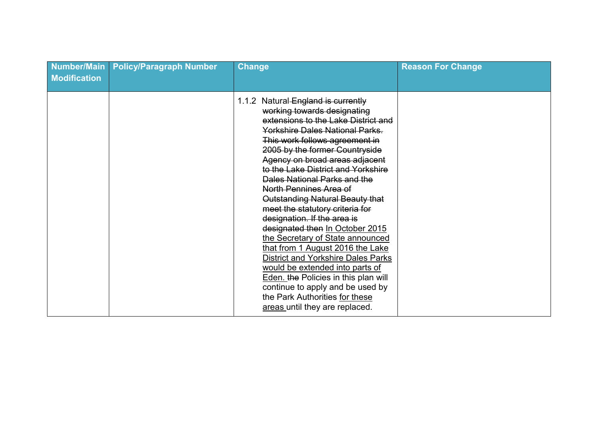| Number/Main<br><b>Modification</b> | <b>Policy/Paragraph Number</b> | <b>Change</b>                                                                                                                                                                                                                                                                                                                                                                                                                                                                                                                                                                                                                                                                                                                                                                                                   | <b>Reason For Change</b> |
|------------------------------------|--------------------------------|-----------------------------------------------------------------------------------------------------------------------------------------------------------------------------------------------------------------------------------------------------------------------------------------------------------------------------------------------------------------------------------------------------------------------------------------------------------------------------------------------------------------------------------------------------------------------------------------------------------------------------------------------------------------------------------------------------------------------------------------------------------------------------------------------------------------|--------------------------|
|                                    |                                | 1.1.2 Natural England is currently<br>working towards designating<br>extensions to the Lake District and<br><b>Yorkshire Dales National Parks.</b><br>This work follows agreement in<br>2005 by the former Countryside<br>Agency on broad areas adjacent<br>to the Lake District and Yorkshire<br>Dales National Parks and the<br>North Pennines Area of<br>Outstanding Natural Beauty that<br>meet the statutory criteria for<br>designation. If the area is<br>designated then In October 2015<br>the Secretary of State announced<br>that from 1 August 2016 the Lake<br><b>District and Yorkshire Dales Parks</b><br>would be extended into parts of<br><b>Eden. the Policies in this plan will</b><br>continue to apply and be used by<br>the Park Authorities for these<br>areas until they are replaced. |                          |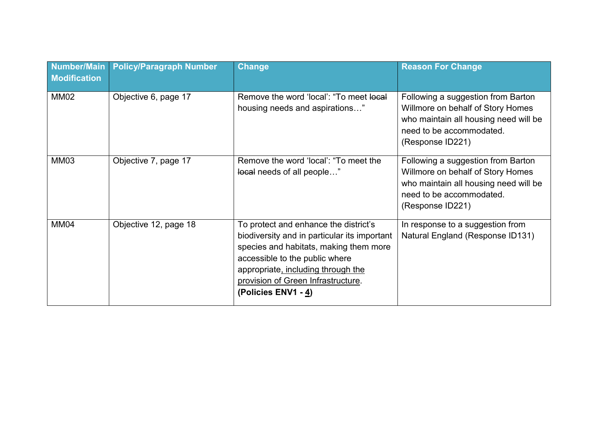| <b>Number/Main</b><br><b>Modification</b> | <b>Policy/Paragraph Number</b> | <b>Change</b>                                                                                                                                                                                                                                                        | <b>Reason For Change</b>                                                                                                                                         |
|-------------------------------------------|--------------------------------|----------------------------------------------------------------------------------------------------------------------------------------------------------------------------------------------------------------------------------------------------------------------|------------------------------------------------------------------------------------------------------------------------------------------------------------------|
| <b>MM02</b>                               | Objective 6, page 17           | Remove the word 'local': "To meet local<br>housing needs and aspirations"                                                                                                                                                                                            | Following a suggestion from Barton<br>Willmore on behalf of Story Homes<br>who maintain all housing need will be<br>need to be accommodated.<br>(Response ID221) |
| MM03                                      | Objective 7, page 17           | Remove the word 'local': "To meet the<br>local needs of all people"                                                                                                                                                                                                  | Following a suggestion from Barton<br>Willmore on behalf of Story Homes<br>who maintain all housing need will be<br>need to be accommodated.<br>(Response ID221) |
| <b>MM04</b>                               | Objective 12, page 18          | To protect and enhance the district's<br>biodiversity and in particular its important<br>species and habitats, making them more<br>accessible to the public where<br>appropriate, including through the<br>provision of Green Infrastructure.<br>(Policies ENV1 - 4) | In response to a suggestion from<br>Natural England (Response ID131)                                                                                             |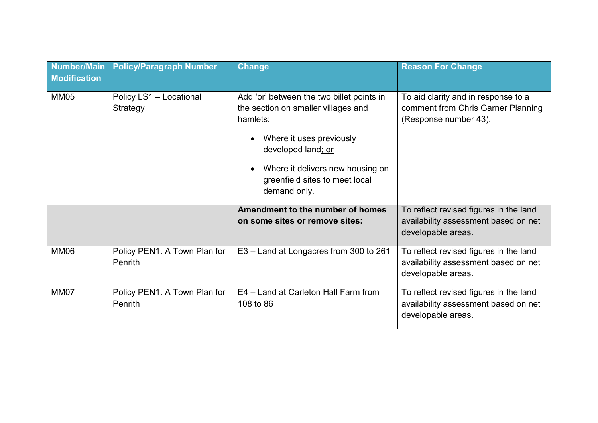| <b>Number/Main</b><br><b>Modification</b> | <b>Policy/Paragraph Number</b>          | <b>Change</b>                                                                                                                                                                                                                                     | <b>Reason For Change</b>                                                                             |
|-------------------------------------------|-----------------------------------------|---------------------------------------------------------------------------------------------------------------------------------------------------------------------------------------------------------------------------------------------------|------------------------------------------------------------------------------------------------------|
| <b>MM05</b>                               | Policy LS1 - Locational<br>Strategy     | Add 'or' between the two billet points in<br>the section on smaller villages and<br>hamlets:<br>Where it uses previously<br>developed land; or<br>Where it delivers new housing on<br>$\bullet$<br>greenfield sites to meet local<br>demand only. | To aid clarity and in response to a<br>comment from Chris Garner Planning<br>(Response number 43).   |
|                                           |                                         | Amendment to the number of homes<br>on some sites or remove sites:                                                                                                                                                                                | To reflect revised figures in the land<br>availability assessment based on net<br>developable areas. |
| <b>MM06</b>                               | Policy PEN1. A Town Plan for<br>Penrith | E3 – Land at Longacres from 300 to 261                                                                                                                                                                                                            | To reflect revised figures in the land<br>availability assessment based on net<br>developable areas. |
| <b>MM07</b>                               | Policy PEN1. A Town Plan for<br>Penrith | E4 - Land at Carleton Hall Farm from<br>108 to 86                                                                                                                                                                                                 | To reflect revised figures in the land<br>availability assessment based on net<br>developable areas. |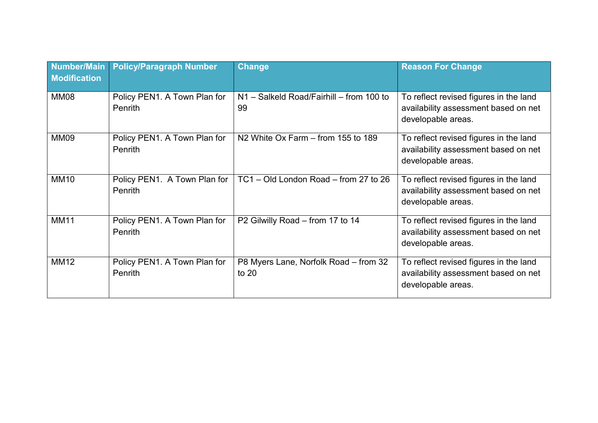| Number/Main<br><b>Modification</b> | <b>Policy/Paragraph Number</b>          | <b>Change</b>                                    | <b>Reason For Change</b>                                                                             |
|------------------------------------|-----------------------------------------|--------------------------------------------------|------------------------------------------------------------------------------------------------------|
| <b>MM08</b>                        | Policy PEN1. A Town Plan for<br>Penrith | N1 - Salkeld Road/Fairhill - from 100 to<br>99   | To reflect revised figures in the land<br>availability assessment based on net<br>developable areas. |
| <b>MM09</b>                        | Policy PEN1. A Town Plan for<br>Penrith | N <sub>2</sub> White Ox Farm – from 155 to 189   | To reflect revised figures in the land<br>availability assessment based on net<br>developable areas. |
| <b>MM10</b>                        | Policy PEN1. A Town Plan for<br>Penrith | TC1 - Old London Road - from 27 to 26            | To reflect revised figures in the land<br>availability assessment based on net<br>developable areas. |
| <b>MM11</b>                        | Policy PEN1. A Town Plan for<br>Penrith | P2 Gilwilly Road - from 17 to 14                 | To reflect revised figures in the land<br>availability assessment based on net<br>developable areas. |
| <b>MM12</b>                        | Policy PEN1. A Town Plan for<br>Penrith | P8 Myers Lane, Norfolk Road – from 32<br>to $20$ | To reflect revised figures in the land<br>availability assessment based on net<br>developable areas. |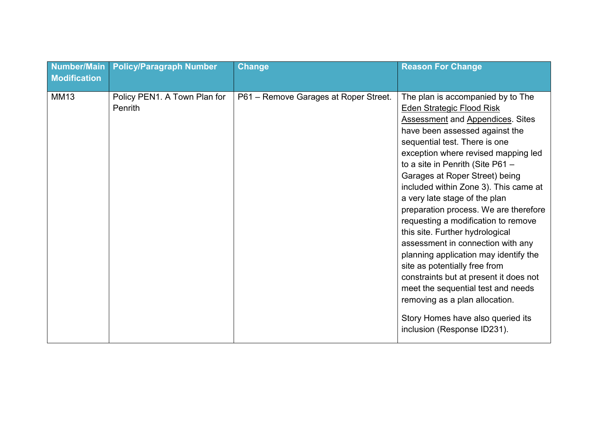| <b>Number/Main</b><br><b>Modification</b> | <b>Policy/Paragraph Number</b>          | <b>Change</b>                         | <b>Reason For Change</b>                                                                                                                                                                                                                                                                                                                                                                                                                                                                                                                                                                                                                                                                                                                                                                           |
|-------------------------------------------|-----------------------------------------|---------------------------------------|----------------------------------------------------------------------------------------------------------------------------------------------------------------------------------------------------------------------------------------------------------------------------------------------------------------------------------------------------------------------------------------------------------------------------------------------------------------------------------------------------------------------------------------------------------------------------------------------------------------------------------------------------------------------------------------------------------------------------------------------------------------------------------------------------|
| <b>MM13</b>                               | Policy PEN1. A Town Plan for<br>Penrith | P61 - Remove Garages at Roper Street. | The plan is accompanied by to The<br><b>Eden Strategic Flood Risk</b><br><b>Assessment and Appendices. Sites</b><br>have been assessed against the<br>sequential test. There is one<br>exception where revised mapping led<br>to a site in Penrith (Site P61 -<br>Garages at Roper Street) being<br>included within Zone 3). This came at<br>a very late stage of the plan<br>preparation process. We are therefore<br>requesting a modification to remove<br>this site. Further hydrological<br>assessment in connection with any<br>planning application may identify the<br>site as potentially free from<br>constraints but at present it does not<br>meet the sequential test and needs<br>removing as a plan allocation.<br>Story Homes have also queried its<br>inclusion (Response ID231). |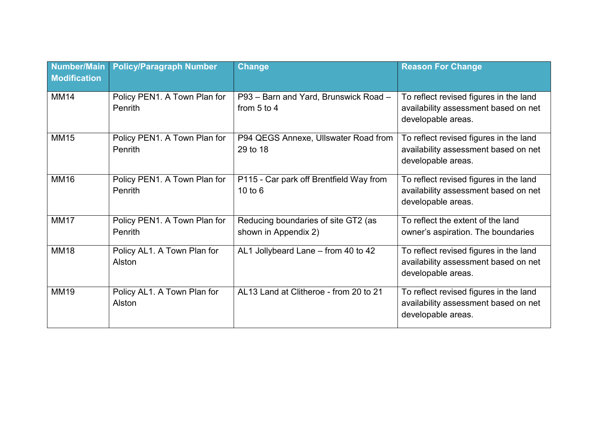| <b>Number/Main</b><br><b>Modification</b> | <b>Policy/Paragraph Number</b>          | <b>Change</b>                                               | <b>Reason For Change</b>                                                                             |
|-------------------------------------------|-----------------------------------------|-------------------------------------------------------------|------------------------------------------------------------------------------------------------------|
| <b>MM14</b>                               | Policy PEN1. A Town Plan for<br>Penrith | P93 - Barn and Yard, Brunswick Road -<br>from $5$ to $4$    | To reflect revised figures in the land<br>availability assessment based on net<br>developable areas. |
| <b>MM15</b>                               | Policy PEN1. A Town Plan for<br>Penrith | P94 QEGS Annexe, Ullswater Road from<br>29 to 18            | To reflect revised figures in the land<br>availability assessment based on net<br>developable areas. |
| <b>MM16</b>                               | Policy PEN1. A Town Plan for<br>Penrith | P115 - Car park off Brentfield Way from<br>10 to 6          | To reflect revised figures in the land<br>availability assessment based on net<br>developable areas. |
| <b>MM17</b>                               | Policy PEN1. A Town Plan for<br>Penrith | Reducing boundaries of site GT2 (as<br>shown in Appendix 2) | To reflect the extent of the land<br>owner's aspiration. The boundaries                              |
| <b>MM18</b>                               | Policy AL1. A Town Plan for<br>Alston   | AL1 Jollybeard Lane - from 40 to 42                         | To reflect revised figures in the land<br>availability assessment based on net<br>developable areas. |
| <b>MM19</b>                               | Policy AL1. A Town Plan for<br>Alston   | AL13 Land at Clitheroe - from 20 to 21                      | To reflect revised figures in the land<br>availability assessment based on net<br>developable areas. |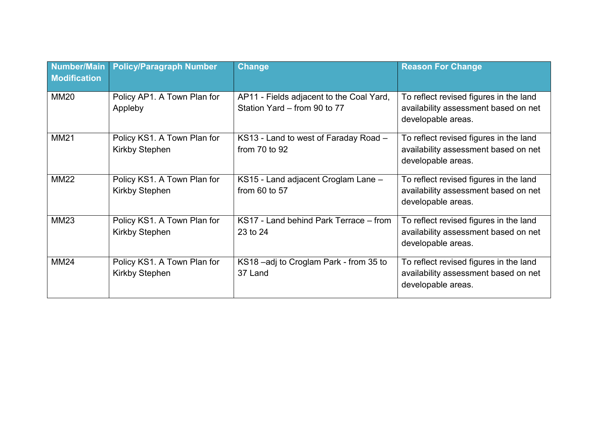| Number/Main<br><b>Modification</b> | <b>Policy/Paragraph Number</b>                       | <b>Change</b>                                                            | <b>Reason For Change</b>                                                                             |
|------------------------------------|------------------------------------------------------|--------------------------------------------------------------------------|------------------------------------------------------------------------------------------------------|
| <b>MM20</b>                        | Policy AP1. A Town Plan for<br>Appleby               | AP11 - Fields adjacent to the Coal Yard,<br>Station Yard - from 90 to 77 | To reflect revised figures in the land<br>availability assessment based on net<br>developable areas. |
| <b>MM21</b>                        | Policy KS1. A Town Plan for<br><b>Kirkby Stephen</b> | KS13 - Land to west of Faraday Road -<br>from $70$ to $92$               | To reflect revised figures in the land<br>availability assessment based on net<br>developable areas. |
| <b>MM22</b>                        | Policy KS1. A Town Plan for<br><b>Kirkby Stephen</b> | KS15 - Land adjacent Croglam Lane -<br>from $60$ to $57$                 | To reflect revised figures in the land<br>availability assessment based on net<br>developable areas. |
| <b>MM23</b>                        | Policy KS1. A Town Plan for<br><b>Kirkby Stephen</b> | KS17 - Land behind Park Terrace – from<br>23 to 24                       | To reflect revised figures in the land<br>availability assessment based on net<br>developable areas. |
| <b>MM24</b>                        | Policy KS1. A Town Plan for<br><b>Kirkby Stephen</b> | KS18-adj to Croglam Park - from 35 to<br>37 Land                         | To reflect revised figures in the land<br>availability assessment based on net<br>developable areas. |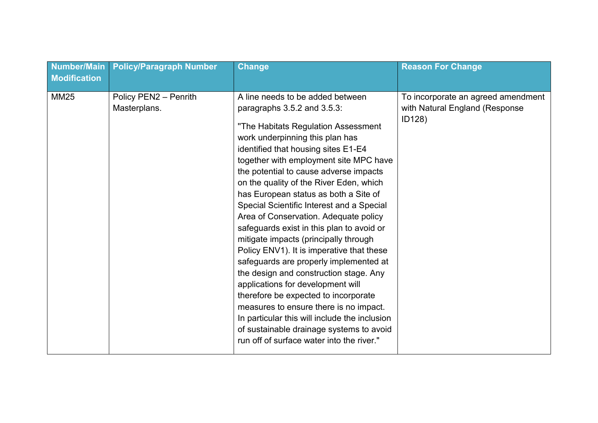| <b>Number/Main</b><br><b>Modification</b> | <b>Policy/Paragraph Number</b>        | <b>Change</b>                                                                                                                                                                                                                                                                                                                                                                                                                                                                                                                                                                                                                                                                                                                                                                                                                                                                                                                          | <b>Reason For Change</b>                                                       |
|-------------------------------------------|---------------------------------------|----------------------------------------------------------------------------------------------------------------------------------------------------------------------------------------------------------------------------------------------------------------------------------------------------------------------------------------------------------------------------------------------------------------------------------------------------------------------------------------------------------------------------------------------------------------------------------------------------------------------------------------------------------------------------------------------------------------------------------------------------------------------------------------------------------------------------------------------------------------------------------------------------------------------------------------|--------------------------------------------------------------------------------|
| <b>MM25</b>                               | Policy PEN2 - Penrith<br>Masterplans. | A line needs to be added between<br>paragraphs 3.5.2 and 3.5.3:<br>"The Habitats Regulation Assessment<br>work underpinning this plan has<br>identified that housing sites E1-E4<br>together with employment site MPC have<br>the potential to cause adverse impacts<br>on the quality of the River Eden, which<br>has European status as both a Site of<br>Special Scientific Interest and a Special<br>Area of Conservation. Adequate policy<br>safeguards exist in this plan to avoid or<br>mitigate impacts (principally through<br>Policy ENV1). It is imperative that these<br>safeguards are properly implemented at<br>the design and construction stage. Any<br>applications for development will<br>therefore be expected to incorporate<br>measures to ensure there is no impact.<br>In particular this will include the inclusion<br>of sustainable drainage systems to avoid<br>run off of surface water into the river." | To incorporate an agreed amendment<br>with Natural England (Response<br>ID128) |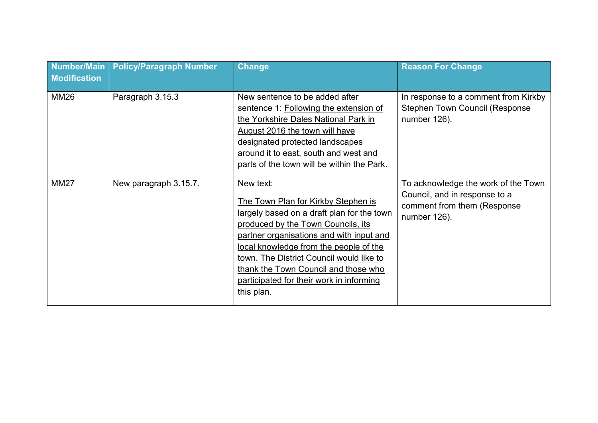| <b>Number/Main</b><br><b>Modification</b> | <b>Policy/Paragraph Number</b> | <b>Change</b>                                                                                                                                                                                                                                                                                                                                                            | <b>Reason For Change</b>                                                                                             |
|-------------------------------------------|--------------------------------|--------------------------------------------------------------------------------------------------------------------------------------------------------------------------------------------------------------------------------------------------------------------------------------------------------------------------------------------------------------------------|----------------------------------------------------------------------------------------------------------------------|
| <b>MM26</b>                               | Paragraph 3.15.3               | New sentence to be added after<br>sentence 1: Following the extension of<br>the Yorkshire Dales National Park in<br>August 2016 the town will have<br>designated protected landscapes<br>around it to east, south and west and<br>parts of the town will be within the Park.                                                                                             | In response to a comment from Kirkby<br><b>Stephen Town Council (Response</b><br>number 126).                        |
| <b>MM27</b>                               | New paragraph 3.15.7.          | New text:<br>The Town Plan for Kirkby Stephen is<br>largely based on a draft plan for the town<br>produced by the Town Councils, its<br>partner organisations and with input and<br>local knowledge from the people of the<br>town. The District Council would like to<br>thank the Town Council and those who<br>participated for their work in informing<br>this plan. | To acknowledge the work of the Town<br>Council, and in response to a<br>comment from them (Response)<br>number 126). |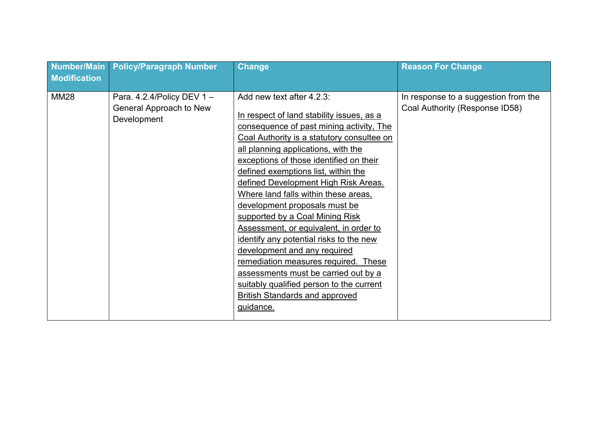| <b>Number/Main</b><br><b>Modification</b> | <b>Policy/Paragraph Number</b>                                         | <b>Change</b>                                                                                                                                                                                                                                                                                                                                                                                                                                                                                                                                                                                                                                                                                                                                        | <b>Reason For Change</b>                                               |
|-------------------------------------------|------------------------------------------------------------------------|------------------------------------------------------------------------------------------------------------------------------------------------------------------------------------------------------------------------------------------------------------------------------------------------------------------------------------------------------------------------------------------------------------------------------------------------------------------------------------------------------------------------------------------------------------------------------------------------------------------------------------------------------------------------------------------------------------------------------------------------------|------------------------------------------------------------------------|
| <b>MM28</b>                               | Para. 4.2.4/Policy DEV 1 $-$<br>General Approach to New<br>Development | Add new text after 4.2.3:<br>In respect of land stability issues, as a<br>consequence of past mining activity, The<br>Coal Authority is a statutory consultee on<br>all planning applications, with the<br>exceptions of those identified on their<br>defined exemptions list, within the<br>defined Development High Risk Areas.<br>Where land falls within these areas,<br>development proposals must be<br>supported by a Coal Mining Risk<br>Assessment, or equivalent, in order to<br>identify any potential risks to the new<br>development and any required<br>remediation measures required. These<br>assessments must be carried out by a<br>suitably qualified person to the current<br><b>British Standards and approved</b><br>guidance. | In response to a suggestion from the<br>Coal Authority (Response ID58) |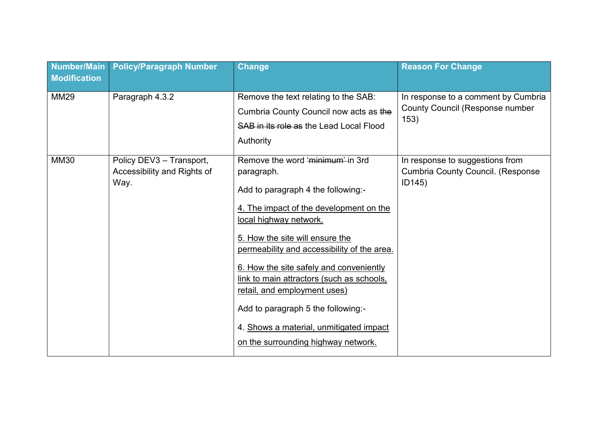| <b>Number/Main</b><br><b>Modification</b> | <b>Policy/Paragraph Number</b>                                  | <b>Change</b>                                                                                                                                                                                                                                                                                                                                                                                                                                                                               | <b>Reason For Change</b>                                                              |
|-------------------------------------------|-----------------------------------------------------------------|---------------------------------------------------------------------------------------------------------------------------------------------------------------------------------------------------------------------------------------------------------------------------------------------------------------------------------------------------------------------------------------------------------------------------------------------------------------------------------------------|---------------------------------------------------------------------------------------|
| <b>MM29</b>                               | Paragraph 4.3.2                                                 | Remove the text relating to the SAB:<br>Cumbria County Council now acts as the<br>SAB in its role as the Lead Local Flood<br>Authority                                                                                                                                                                                                                                                                                                                                                      | In response to a comment by Cumbria<br><b>County Council (Response number</b><br>153) |
| <b>MM30</b>                               | Policy DEV3 - Transport,<br>Accessibility and Rights of<br>Way. | Remove the word 'minimum' in 3rd<br>paragraph.<br>Add to paragraph 4 the following:-<br>4. The impact of the development on the<br>local highway network.<br>5. How the site will ensure the<br>permeability and accessibility of the area.<br>6. How the site safely and conveniently<br>link to main attractors (such as schools,<br>retail, and employment uses)<br>Add to paragraph 5 the following:-<br>4. Shows a material, unmitigated impact<br>on the surrounding highway network. | In response to suggestions from<br><b>Cumbria County Council. (Response</b><br>ID145) |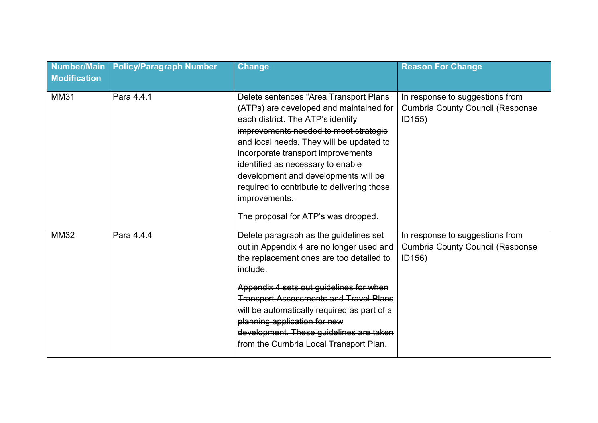| <b>Number/Main</b><br><b>Modification</b> | <b>Policy/Paragraph Number</b> | <b>Change</b>                                                                                                                                                                                                                                                                                                                                                                                                                        | <b>Reason For Change</b>                                                             |
|-------------------------------------------|--------------------------------|--------------------------------------------------------------------------------------------------------------------------------------------------------------------------------------------------------------------------------------------------------------------------------------------------------------------------------------------------------------------------------------------------------------------------------------|--------------------------------------------------------------------------------------|
| <b>MM31</b>                               | Para 4.4.1                     | Delete sentences "Area Transport Plans<br>(ATPs) are developed and maintained for<br>each district. The ATP's identify<br>improvements needed to meet strategic<br>and local needs. They will be updated to<br>incorporate transport improvements<br>identified as necessary to enable<br>development and developments will be<br>required to contribute to delivering those<br>improvements.<br>The proposal for ATP's was dropped. | In response to suggestions from<br><b>Cumbria County Council (Response</b><br>ID155) |
| <b>MM32</b>                               | Para 4.4.4                     | Delete paragraph as the guidelines set<br>out in Appendix 4 are no longer used and<br>the replacement ones are too detailed to<br>include.<br>Appendix 4 sets out guidelines for when<br><b>Transport Assessments and Travel Plans</b><br>will be automatically required as part of a<br>planning application for new<br>development. These guidelines are taken<br>from the Cumbria Local Transport Plan.                           | In response to suggestions from<br><b>Cumbria County Council (Response</b><br>ID156) |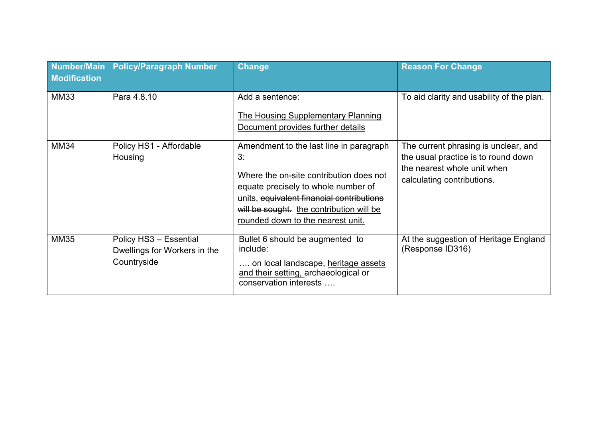| <b>Number/Main</b><br><b>Modification</b> | <b>Policy/Paragraph Number</b>                                        | <b>Change</b>                                                                                                                                                                                                                                                 | <b>Reason For Change</b>                                                                                                                 |
|-------------------------------------------|-----------------------------------------------------------------------|---------------------------------------------------------------------------------------------------------------------------------------------------------------------------------------------------------------------------------------------------------------|------------------------------------------------------------------------------------------------------------------------------------------|
| <b>MM33</b>                               | Para 4.8.10                                                           | Add a sentence:<br>The Housing Supplementary Planning<br>Document provides further details                                                                                                                                                                    | To aid clarity and usability of the plan.                                                                                                |
| <b>MM34</b>                               | Policy HS1 - Affordable<br>Housing                                    | Amendment to the last line in paragraph<br>3:<br>Where the on-site contribution does not<br>equate precisely to whole number of<br>units, equivalent financial contributions<br>will be sought. the contribution will be<br>rounded down to the nearest unit. | The current phrasing is unclear, and<br>the usual practice is to round down<br>the nearest whole unit when<br>calculating contributions. |
| <b>MM35</b>                               | Policy HS3 - Essential<br>Dwellings for Workers in the<br>Countryside | Bullet 6 should be augmented to<br>include:<br>on local landscape, heritage assets<br>and their setting, archaeological or<br>conservation interests                                                                                                          | At the suggestion of Heritage England<br>(Response ID316)                                                                                |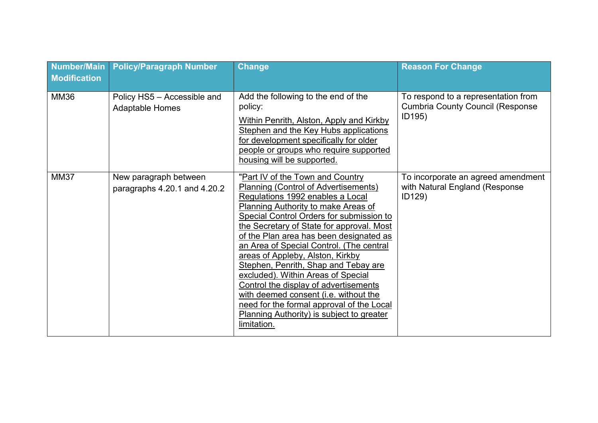| <b>Number/Main</b><br><b>Modification</b> | <b>Policy/Paragraph Number</b>                        | <b>Change</b>                                                                                                                                                                                                                                                                                                                                                                                                                                                                                                                                                                                                                                                  | <b>Reason For Change</b>                                                                 |
|-------------------------------------------|-------------------------------------------------------|----------------------------------------------------------------------------------------------------------------------------------------------------------------------------------------------------------------------------------------------------------------------------------------------------------------------------------------------------------------------------------------------------------------------------------------------------------------------------------------------------------------------------------------------------------------------------------------------------------------------------------------------------------------|------------------------------------------------------------------------------------------|
| <b>MM36</b>                               | Policy HS5 - Accessible and<br><b>Adaptable Homes</b> | Add the following to the end of the<br>policy:<br>Within Penrith, Alston, Apply and Kirkby<br>Stephen and the Key Hubs applications<br>for development specifically for older<br>people or groups who require supported<br>housing will be supported.                                                                                                                                                                                                                                                                                                                                                                                                          | To respond to a representation from<br><b>Cumbria County Council (Response</b><br>ID195) |
| <b>MM37</b>                               | New paragraph between<br>paragraphs 4.20.1 and 4.20.2 | "Part IV of the Town and Country<br>Planning (Control of Advertisements)<br>Regulations 1992 enables a Local<br><b>Planning Authority to make Areas of</b><br>Special Control Orders for submission to<br>the Secretary of State for approval. Most<br>of the Plan area has been designated as<br>an Area of Special Control. (The central<br>areas of Appleby, Alston, Kirkby<br>Stephen, Penrith, Shap and Tebay are<br>excluded). Within Areas of Special<br>Control the display of advertisements<br>with deemed consent (i.e. without the<br>need for the formal approval of the Local<br><b>Planning Authority) is subject to greater</b><br>limitation. | To incorporate an agreed amendment<br>with Natural England (Response<br>ID129)           |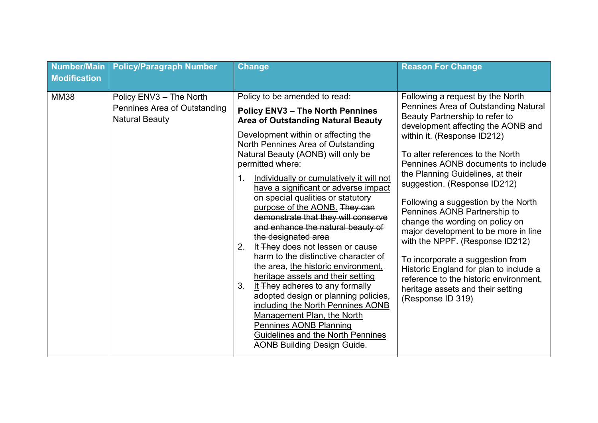| <b>MM38</b><br>Policy ENV3 - The North<br>Policy to be amended to read:<br>Following a request by the North<br>Pennines Area of Outstanding<br><b>Policy ENV3 - The North Pennines</b><br>Beauty Partnership to refer to<br><b>Natural Beauty</b><br><b>Area of Outstanding Natural Beauty</b><br>development affecting the AONB and                                                                                                                                                                                                                                                                                                                                                                                                                                                                                                                                                                                                                                                                                                                                                                                                                                                                                                                                                                                                          | Number/Main<br><b>Modification</b> | <b>Policy/Paragraph Number</b> | <b>Change</b> | <b>Reason For Change</b>                                                   |
|-----------------------------------------------------------------------------------------------------------------------------------------------------------------------------------------------------------------------------------------------------------------------------------------------------------------------------------------------------------------------------------------------------------------------------------------------------------------------------------------------------------------------------------------------------------------------------------------------------------------------------------------------------------------------------------------------------------------------------------------------------------------------------------------------------------------------------------------------------------------------------------------------------------------------------------------------------------------------------------------------------------------------------------------------------------------------------------------------------------------------------------------------------------------------------------------------------------------------------------------------------------------------------------------------------------------------------------------------|------------------------------------|--------------------------------|---------------|----------------------------------------------------------------------------|
| Development within or affecting the<br>within it. (Response ID212)<br>North Pennines Area of Outstanding<br>Natural Beauty (AONB) will only be<br>To alter references to the North<br>permitted where:<br>the Planning Guidelines, at their<br>Individually or cumulatively it will not<br>suggestion. (Response ID212)<br>have a significant or adverse impact<br>on special qualities or statutory<br>Following a suggestion by the North<br>purpose of the AONB. They can<br>Pennines AONB Partnership to<br>demonstrate that they will conserve<br>change the wording on policy on<br>and enhance the natural beauty of<br>major development to be more in line<br>the designated area<br>with the NPPF. (Response ID212)<br>It They does not lessen or cause<br>2.<br>harm to the distinctive character of<br>To incorporate a suggestion from<br>the area, the historic environment,<br>Historic England for plan to include a<br>heritage assets and their setting<br>reference to the historic environment,<br>It They adheres to any formally<br>3.<br>heritage assets and their setting<br>adopted design or planning policies,<br>(Response ID 319)<br>including the North Pennines AONB<br>Management Plan, the North<br>Pennines AONB Planning<br><b>Guidelines and the North Pennines</b><br><b>AONB Building Design Guide.</b> |                                    |                                |               | Pennines Area of Outstanding Natural<br>Pennines AONB documents to include |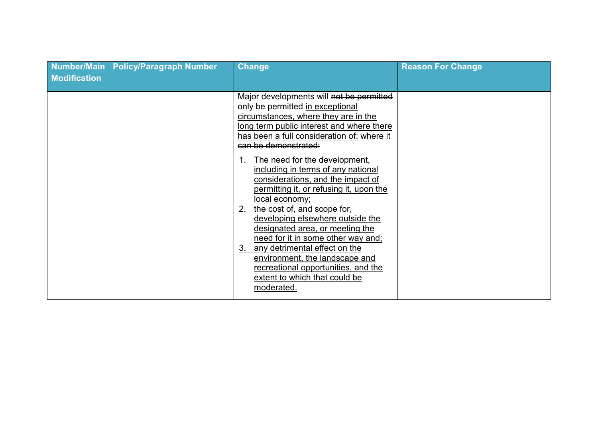| <b>Modification</b> | Number/Main Policy/Paragraph Number | <b>Change</b>                                                                                                                                                                                                                                                                                                                                                                                                                                                                                                                                                                                                                                                                                                                                | <b>Reason For Change</b> |
|---------------------|-------------------------------------|----------------------------------------------------------------------------------------------------------------------------------------------------------------------------------------------------------------------------------------------------------------------------------------------------------------------------------------------------------------------------------------------------------------------------------------------------------------------------------------------------------------------------------------------------------------------------------------------------------------------------------------------------------------------------------------------------------------------------------------------|--------------------------|
|                     |                                     | Major developments will not be permitted<br>only be permitted in exceptional<br>circumstances, where they are in the<br>long term public interest and where there<br>has been a full consideration of: <del>where it</del><br>can be demonstrated:<br>The need for the development,<br>including in terms of any national<br>considerations, and the impact of<br>permitting it, or refusing it, upon the<br>local economy;<br>the cost of, and scope for,<br>2.<br>developing elsewhere outside the<br>designated area, or meeting the<br>need for it in some other way and;<br>any detrimental effect on the<br>3.<br>environment, the landscape and<br>recreational opportunities, and the<br>extent to which that could be<br>moderated. |                          |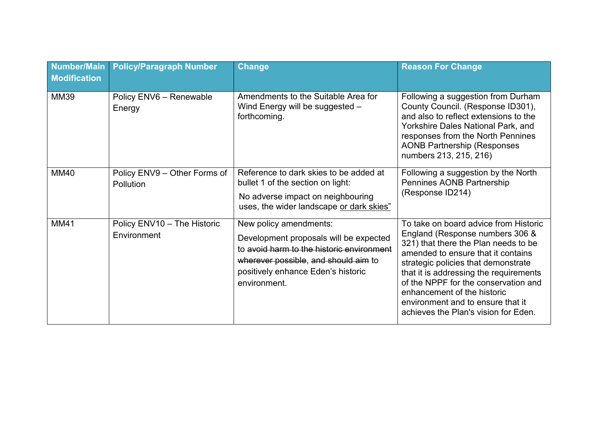| Number/Main<br><b>Modification</b> | <b>Policy/Paragraph Number</b>             | <b>Change</b>                                                                                                                                                                                               | <b>Reason For Change</b>                                                                                                                                                                                                                                                                                                                                                                    |
|------------------------------------|--------------------------------------------|-------------------------------------------------------------------------------------------------------------------------------------------------------------------------------------------------------------|---------------------------------------------------------------------------------------------------------------------------------------------------------------------------------------------------------------------------------------------------------------------------------------------------------------------------------------------------------------------------------------------|
| <b>MM39</b>                        | Policy ENV6 - Renewable<br>Energy          | Amendments to the Suitable Area for<br>Wind Energy will be suggested -<br>forthcoming.                                                                                                                      | Following a suggestion from Durham<br>County Council. (Response ID301),<br>and also to reflect extensions to the<br>Yorkshire Dales National Park, and<br>responses from the North Pennines<br><b>AONB Partnership (Responses)</b><br>numbers 213, 215, 216)                                                                                                                                |
| <b>MM40</b>                        | Policy ENV9 - Other Forms of<br>Pollution  | Reference to dark skies to be added at<br>bullet 1 of the section on light:<br>No adverse impact on neighbouring<br>uses, the wider landscape or dark skies"                                                | Following a suggestion by the North<br>Pennines AONB Partnership<br>(Response ID214)                                                                                                                                                                                                                                                                                                        |
| <b>MM41</b>                        | Policy ENV10 - The Historic<br>Environment | New policy amendments:<br>Development proposals will be expected<br>to avoid harm to the historic environment<br>wherever possible, and should aim to<br>positively enhance Eden's historic<br>environment. | To take on board advice from Historic<br>England (Response numbers 306 &<br>321) that there the Plan needs to be<br>amended to ensure that it contains<br>strategic policies that demonstrate<br>that it is addressing the requirements<br>of the NPPF for the conservation and<br>enhancement of the historic<br>environment and to ensure that it<br>achieves the Plan's vision for Eden. |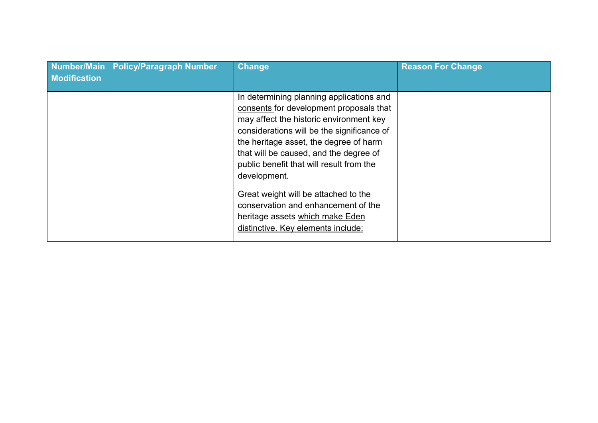| <b>Modification</b> | Number/Main   Policy/Paragraph Number | <b>Change</b>                                                                                                                                                                                                                                                                                                                                                                                                                                                                        | <b>Reason For Change</b> |
|---------------------|---------------------------------------|--------------------------------------------------------------------------------------------------------------------------------------------------------------------------------------------------------------------------------------------------------------------------------------------------------------------------------------------------------------------------------------------------------------------------------------------------------------------------------------|--------------------------|
|                     |                                       | In determining planning applications and<br>consents for development proposals that<br>may affect the historic environment key<br>considerations will be the significance of<br>the heritage asset, the degree of harm<br>that will be caused, and the degree of<br>public benefit that will result from the<br>development.<br>Great weight will be attached to the<br>conservation and enhancement of the<br>heritage assets which make Eden<br>distinctive. Key elements include: |                          |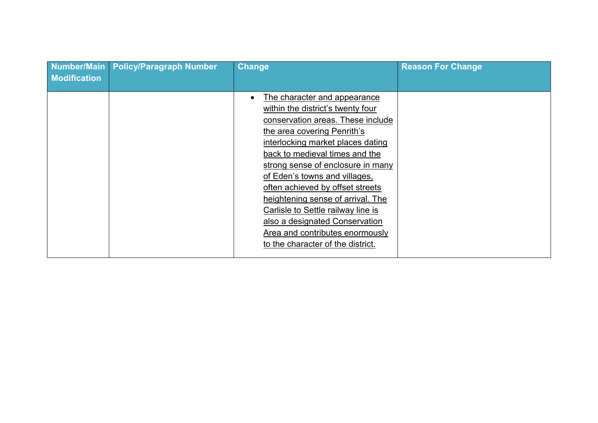| Number/Main<br><b>Modification</b> | <b>Policy/Paragraph Number</b> | <b>Change</b>                                                                                                                                                                                                                                                                                                                                                                                                                                                                                                            | <b>Reason For Change</b> |
|------------------------------------|--------------------------------|--------------------------------------------------------------------------------------------------------------------------------------------------------------------------------------------------------------------------------------------------------------------------------------------------------------------------------------------------------------------------------------------------------------------------------------------------------------------------------------------------------------------------|--------------------------|
|                                    |                                | The character and appearance<br>$\bullet$<br>within the district's twenty four<br>conservation areas. These include<br>the area covering Penrith's<br>interlocking market places dating<br>back to medieval times and the<br>strong sense of enclosure in many<br>of Eden's towns and villages,<br>often achieved by offset streets<br>heightening sense of arrival. The<br>Carlisle to Settle railway line is<br>also a designated Conservation<br>Area and contributes enormously<br>to the character of the district. |                          |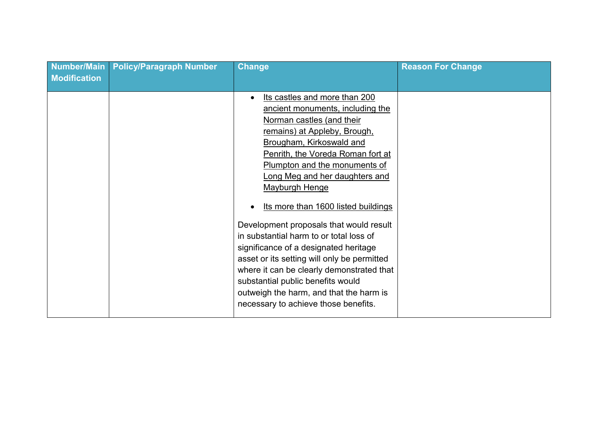| <b>Number/Main</b><br><b>Modification</b> | <b>Policy/Paragraph Number</b> | <b>Change</b>                                                                                                                                                                                                                                                                                                                                                                                                                                                                                                                                                                                                                                                                                      | <b>Reason For Change</b> |
|-------------------------------------------|--------------------------------|----------------------------------------------------------------------------------------------------------------------------------------------------------------------------------------------------------------------------------------------------------------------------------------------------------------------------------------------------------------------------------------------------------------------------------------------------------------------------------------------------------------------------------------------------------------------------------------------------------------------------------------------------------------------------------------------------|--------------------------|
|                                           |                                | Its castles and more than 200<br>$\bullet$<br>ancient monuments, including the<br>Norman castles (and their<br>remains) at Appleby, Brough,<br>Brougham, Kirkoswald and<br>Penrith, the Voreda Roman fort at<br>Plumpton and the monuments of<br>Long Meg and her daughters and<br><b>Mayburgh Henge</b><br>Its more than 1600 listed buildings<br>Development proposals that would result<br>in substantial harm to or total loss of<br>significance of a designated heritage<br>asset or its setting will only be permitted<br>where it can be clearly demonstrated that<br>substantial public benefits would<br>outweigh the harm, and that the harm is<br>necessary to achieve those benefits. |                          |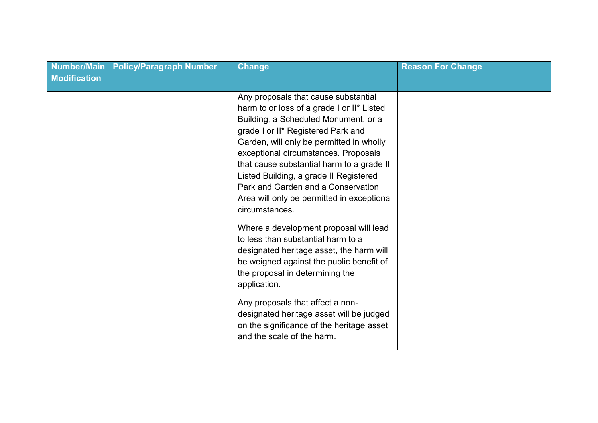| Number/Main<br><b>Modification</b> | <b>Policy/Paragraph Number</b> | <b>Change</b>                                                                                                                                                                                                                                                                                                                                                                                                                                                                                                                                                                                                                                                                                                                                                                                                                           | <b>Reason For Change</b> |
|------------------------------------|--------------------------------|-----------------------------------------------------------------------------------------------------------------------------------------------------------------------------------------------------------------------------------------------------------------------------------------------------------------------------------------------------------------------------------------------------------------------------------------------------------------------------------------------------------------------------------------------------------------------------------------------------------------------------------------------------------------------------------------------------------------------------------------------------------------------------------------------------------------------------------------|--------------------------|
|                                    |                                | Any proposals that cause substantial<br>harm to or loss of a grade I or II* Listed<br>Building, a Scheduled Monument, or a<br>grade I or II* Registered Park and<br>Garden, will only be permitted in wholly<br>exceptional circumstances. Proposals<br>that cause substantial harm to a grade II<br>Listed Building, a grade II Registered<br>Park and Garden and a Conservation<br>Area will only be permitted in exceptional<br>circumstances.<br>Where a development proposal will lead<br>to less than substantial harm to a<br>designated heritage asset, the harm will<br>be weighed against the public benefit of<br>the proposal in determining the<br>application.<br>Any proposals that affect a non-<br>designated heritage asset will be judged<br>on the significance of the heritage asset<br>and the scale of the harm. |                          |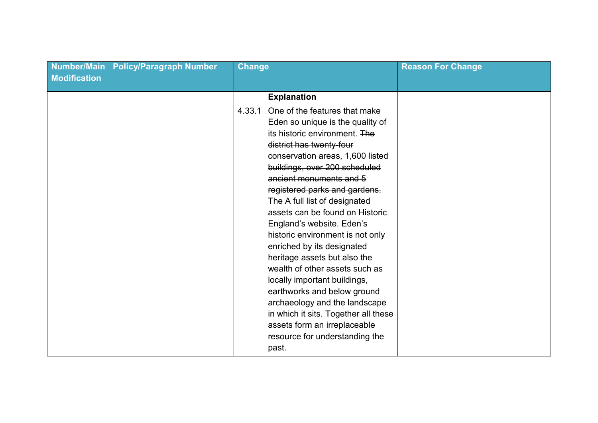| Number/Main<br><b>Modification</b> | <b>Policy/Paragraph Number</b> | <b>Change</b>                                                                                                                                                                                                                                                                                                                                                                                                                                                                                                                                                                                                                                                                                                                     | <b>Reason For Change</b> |
|------------------------------------|--------------------------------|-----------------------------------------------------------------------------------------------------------------------------------------------------------------------------------------------------------------------------------------------------------------------------------------------------------------------------------------------------------------------------------------------------------------------------------------------------------------------------------------------------------------------------------------------------------------------------------------------------------------------------------------------------------------------------------------------------------------------------------|--------------------------|
|                                    |                                | <b>Explanation</b>                                                                                                                                                                                                                                                                                                                                                                                                                                                                                                                                                                                                                                                                                                                |                          |
|                                    |                                | One of the features that make<br>4.33.1<br>Eden so unique is the quality of<br>its historic environment. The<br>district has twenty-four<br>conservation areas, 1,600 listed<br>buildings, over 200 scheduled<br>ancient monuments and 5<br>registered parks and gardens.<br>The A full list of designated<br>assets can be found on Historic<br>England's website. Eden's<br>historic environment is not only<br>enriched by its designated<br>heritage assets but also the<br>wealth of other assets such as<br>locally important buildings,<br>earthworks and below ground<br>archaeology and the landscape<br>in which it sits. Together all these<br>assets form an irreplaceable<br>resource for understanding the<br>past. |                          |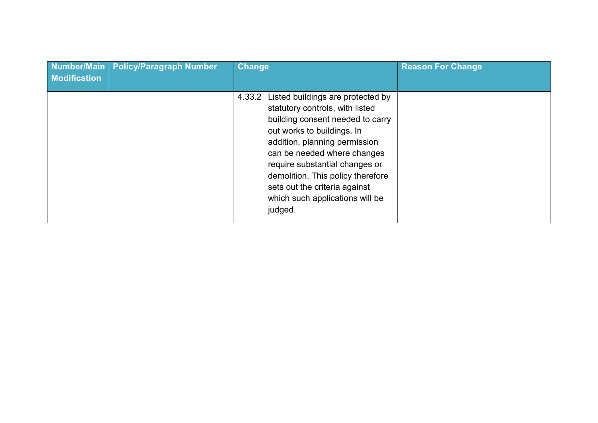| Number/Main<br><b>Modification</b> | <b>Policy/Paragraph Number</b> | <b>Change</b>                                                                                                                                                                                                                                                                                                                                                          | <b>Reason For Change</b> |
|------------------------------------|--------------------------------|------------------------------------------------------------------------------------------------------------------------------------------------------------------------------------------------------------------------------------------------------------------------------------------------------------------------------------------------------------------------|--------------------------|
|                                    |                                | Listed buildings are protected by<br>4.33.2<br>statutory controls, with listed<br>building consent needed to carry<br>out works to buildings. In<br>addition, planning permission<br>can be needed where changes<br>require substantial changes or<br>demolition. This policy therefore<br>sets out the criteria against<br>which such applications will be<br>judged. |                          |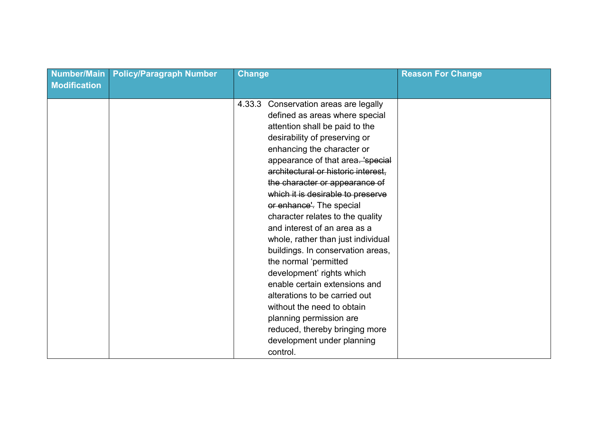| <b>Number/Main</b><br><b>Modification</b> | <b>Policy/Paragraph Number</b> | <b>Change</b>                                                                                                                                                                                                                                                                                                                                                                                                                                                                                                                                                                                                                                                                                                                                                          | <b>Reason For Change</b> |
|-------------------------------------------|--------------------------------|------------------------------------------------------------------------------------------------------------------------------------------------------------------------------------------------------------------------------------------------------------------------------------------------------------------------------------------------------------------------------------------------------------------------------------------------------------------------------------------------------------------------------------------------------------------------------------------------------------------------------------------------------------------------------------------------------------------------------------------------------------------------|--------------------------|
|                                           |                                | Conservation areas are legally<br>4.33.3<br>defined as areas where special<br>attention shall be paid to the<br>desirability of preserving or<br>enhancing the character or<br>appearance of that area. 'special<br>architectural or historic interest,<br>the character or appearance of<br>which it is desirable to preserve<br>or enhance'. The special<br>character relates to the quality<br>and interest of an area as a<br>whole, rather than just individual<br>buildings. In conservation areas,<br>the normal 'permitted<br>development' rights which<br>enable certain extensions and<br>alterations to be carried out<br>without the need to obtain<br>planning permission are<br>reduced, thereby bringing more<br>development under planning<br>control. |                          |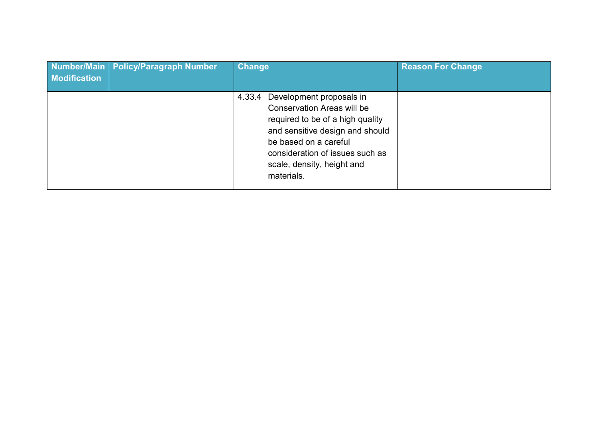| <b>Modification</b> | Number/Main   Policy/Paragraph Number | <b>Change</b>                                                                                                                                                                                                                                          | <b>Reason For Change</b> |
|---------------------|---------------------------------------|--------------------------------------------------------------------------------------------------------------------------------------------------------------------------------------------------------------------------------------------------------|--------------------------|
|                     |                                       | Development proposals in<br>4.33.4<br><b>Conservation Areas will be</b><br>required to be of a high quality<br>and sensitive design and should<br>be based on a careful<br>consideration of issues such as<br>scale, density, height and<br>materials. |                          |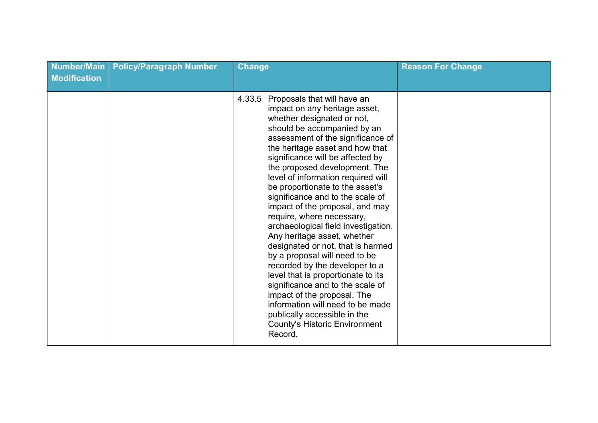| <b>Number/Main</b><br><b>Modification</b> | <b>Policy/Paragraph Number</b> | <b>Change</b>                                                                                                                                                                                                                                                                                                                                                                                                                                                                                                                                                                                                                                                                                                                                                                                                                                                               | <b>Reason For Change</b> |
|-------------------------------------------|--------------------------------|-----------------------------------------------------------------------------------------------------------------------------------------------------------------------------------------------------------------------------------------------------------------------------------------------------------------------------------------------------------------------------------------------------------------------------------------------------------------------------------------------------------------------------------------------------------------------------------------------------------------------------------------------------------------------------------------------------------------------------------------------------------------------------------------------------------------------------------------------------------------------------|--------------------------|
|                                           |                                | Proposals that will have an<br>4.33.5<br>impact on any heritage asset,<br>whether designated or not,<br>should be accompanied by an<br>assessment of the significance of<br>the heritage asset and how that<br>significance will be affected by<br>the proposed development. The<br>level of information required will<br>be proportionate to the asset's<br>significance and to the scale of<br>impact of the proposal, and may<br>require, where necessary,<br>archaeological field investigation.<br>Any heritage asset, whether<br>designated or not, that is harmed<br>by a proposal will need to be<br>recorded by the developer to a<br>level that is proportionate to its<br>significance and to the scale of<br>impact of the proposal. The<br>information will need to be made<br>publically accessible in the<br><b>County's Historic Environment</b><br>Record. |                          |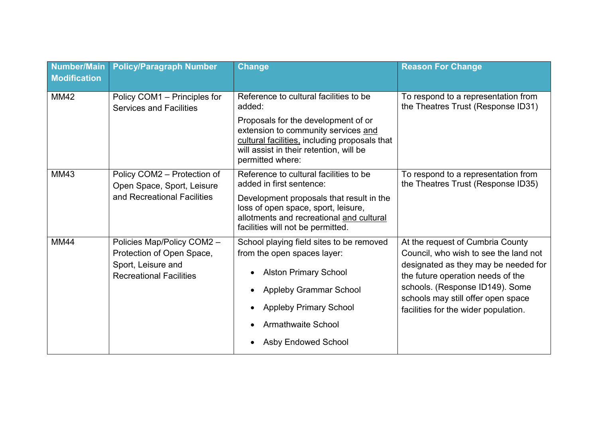| Number/Main<br><b>Modification</b> | <b>Policy/Paragraph Number</b>                                                                                  | <b>Change</b>                                                                                                                                                                                                                                     | <b>Reason For Change</b>                                                                                                                                                                                                                                                |
|------------------------------------|-----------------------------------------------------------------------------------------------------------------|---------------------------------------------------------------------------------------------------------------------------------------------------------------------------------------------------------------------------------------------------|-------------------------------------------------------------------------------------------------------------------------------------------------------------------------------------------------------------------------------------------------------------------------|
| <b>MM42</b>                        | Policy COM1 - Principles for<br><b>Services and Facilities</b>                                                  | Reference to cultural facilities to be<br>added:<br>Proposals for the development of or<br>extension to community services and<br>cultural facilities, including proposals that<br>will assist in their retention, will be<br>permitted where:    | To respond to a representation from<br>the Theatres Trust (Response ID31)                                                                                                                                                                                               |
| <b>MM43</b>                        | Policy COM2 - Protection of<br>Open Space, Sport, Leisure<br>and Recreational Facilities                        | Reference to cultural facilities to be<br>added in first sentence:<br>Development proposals that result in the<br>loss of open space, sport, leisure,<br>allotments and recreational and cultural<br>facilities will not be permitted.            | To respond to a representation from<br>the Theatres Trust (Response ID35)                                                                                                                                                                                               |
| <b>MM44</b>                        | Policies Map/Policy COM2 -<br>Protection of Open Space,<br>Sport, Leisure and<br><b>Recreational Facilities</b> | School playing field sites to be removed<br>from the open spaces layer:<br><b>Alston Primary School</b><br>$\bullet$<br><b>Appleby Grammar School</b><br><b>Appleby Primary School</b><br><b>Armathwaite School</b><br><b>Asby Endowed School</b> | At the request of Cumbria County<br>Council, who wish to see the land not<br>designated as they may be needed for<br>the future operation needs of the<br>schools. (Response ID149). Some<br>schools may still offer open space<br>facilities for the wider population. |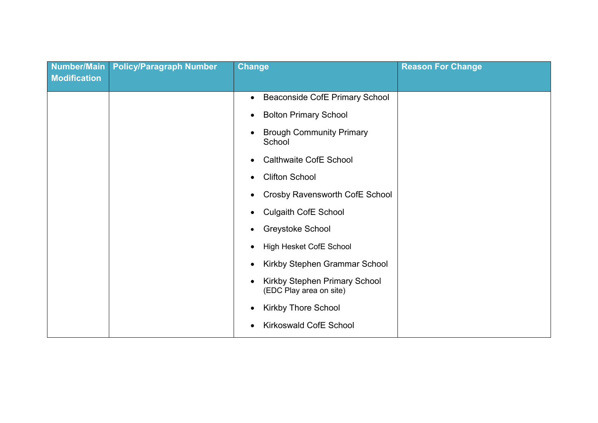| Number/Main<br>Modification | <b>Policy/Paragraph Number</b> | <b>Change</b>                                            | <b>Reason For Change</b> |
|-----------------------------|--------------------------------|----------------------------------------------------------|--------------------------|
|                             |                                |                                                          |                          |
|                             |                                | <b>Beaconside CofE Primary School</b><br>$\bullet$       |                          |
|                             |                                | <b>Bolton Primary School</b><br>$\bullet$                |                          |
|                             |                                | <b>Brough Community Primary</b><br>School                |                          |
|                             |                                | <b>Calthwaite CofE School</b><br>$\bullet$               |                          |
|                             |                                | <b>Clifton School</b><br>$\bullet$                       |                          |
|                             |                                | Crosby Ravensworth CofE School                           |                          |
|                             |                                | <b>Culgaith CofE School</b><br>$\bullet$                 |                          |
|                             |                                | <b>Greystoke School</b><br>$\bullet$                     |                          |
|                             |                                | High Hesket CofE School                                  |                          |
|                             |                                | Kirkby Stephen Grammar School<br>$\bullet$               |                          |
|                             |                                | Kirkby Stephen Primary School<br>(EDC Play area on site) |                          |
|                             |                                | <b>Kirkby Thore School</b><br>$\bullet$                  |                          |
|                             |                                | <b>Kirkoswald CofE School</b>                            |                          |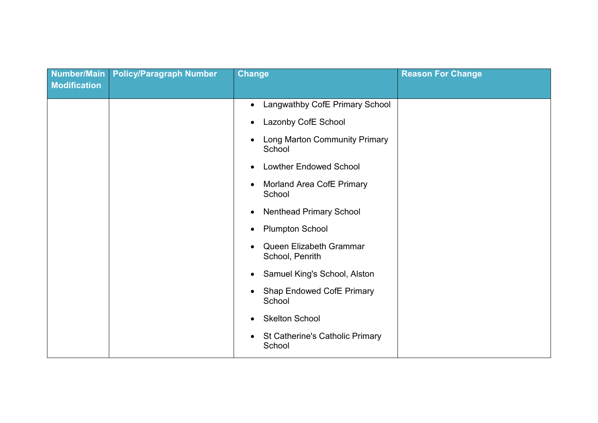| <b>Number/Main</b><br><b>Modification</b> | <b>Policy/Paragraph Number</b> | <b>Change</b>                                                                                                                                                                                                                                                                                                                   | <b>Reason For Change</b> |
|-------------------------------------------|--------------------------------|---------------------------------------------------------------------------------------------------------------------------------------------------------------------------------------------------------------------------------------------------------------------------------------------------------------------------------|--------------------------|
|                                           |                                | Langwathby CofE Primary School<br>$\bullet$<br>Lazonby CofE School<br>$\bullet$<br>Long Marton Community Primary<br>$\bullet$<br>School<br><b>Lowther Endowed School</b><br>$\bullet$<br>Morland Area CofE Primary<br>$\bullet$<br>School<br><b>Nenthead Primary School</b><br>$\bullet$<br><b>Plumpton School</b><br>$\bullet$ |                          |
|                                           |                                | Queen Elizabeth Grammar<br>School, Penrith<br>Samuel King's School, Alston<br>$\bullet$<br><b>Shap Endowed CofE Primary</b><br>$\bullet$<br>School<br><b>Skelton School</b><br>$\bullet$<br>St Catherine's Catholic Primary<br>$\bullet$<br>School                                                                              |                          |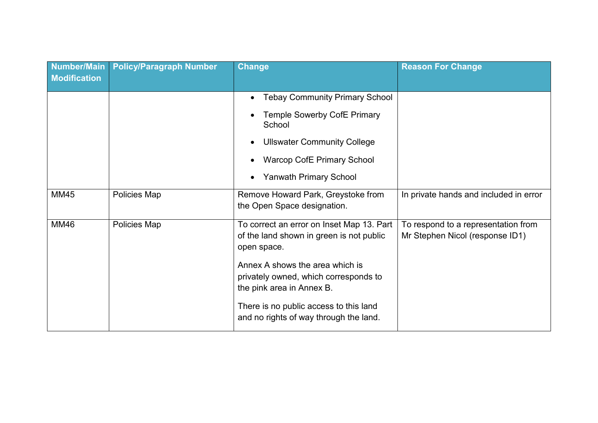| Number/Main<br><b>Modification</b> | <b>Policy/Paragraph Number</b> | <b>Change</b>                                                                                         | <b>Reason For Change</b>                                               |
|------------------------------------|--------------------------------|-------------------------------------------------------------------------------------------------------|------------------------------------------------------------------------|
|                                    |                                | <b>Tebay Community Primary School</b><br>$\bullet$                                                    |                                                                        |
|                                    |                                | <b>Temple Sowerby CofE Primary</b><br>School                                                          |                                                                        |
|                                    |                                | <b>Ullswater Community College</b>                                                                    |                                                                        |
|                                    |                                | <b>Warcop CofE Primary School</b>                                                                     |                                                                        |
|                                    |                                | <b>Yanwath Primary School</b><br>$\bullet$                                                            |                                                                        |
| <b>MM45</b>                        | Policies Map                   | Remove Howard Park, Greystoke from<br>the Open Space designation.                                     | In private hands and included in error                                 |
| <b>MM46</b>                        | Policies Map                   | To correct an error on Inset Map 13. Part<br>of the land shown in green is not public<br>open space.  | To respond to a representation from<br>Mr Stephen Nicol (response ID1) |
|                                    |                                | Annex A shows the area which is<br>privately owned, which corresponds to<br>the pink area in Annex B. |                                                                        |
|                                    |                                | There is no public access to this land<br>and no rights of way through the land.                      |                                                                        |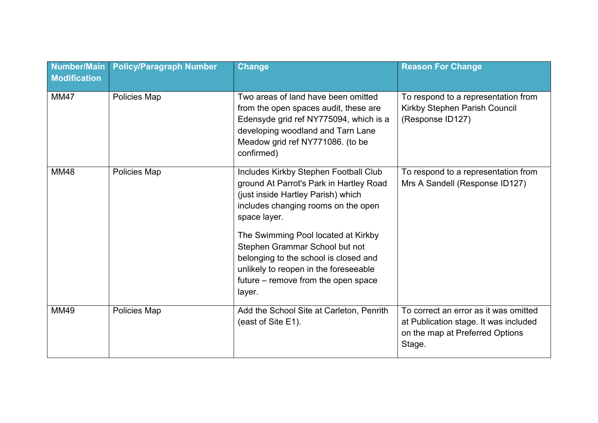| <b>Number/Main</b><br><b>Modification</b> | <b>Policy/Paragraph Number</b> | <b>Change</b>                                                                                                                                                                                                                                                                                                                                                                             | <b>Reason For Change</b>                                                                                                    |
|-------------------------------------------|--------------------------------|-------------------------------------------------------------------------------------------------------------------------------------------------------------------------------------------------------------------------------------------------------------------------------------------------------------------------------------------------------------------------------------------|-----------------------------------------------------------------------------------------------------------------------------|
| <b>MM47</b>                               | Policies Map                   | Two areas of land have been omitted<br>from the open spaces audit, these are<br>Edensyde grid ref NY775094, which is a<br>developing woodland and Tarn Lane<br>Meadow grid ref NY771086. (to be<br>confirmed)                                                                                                                                                                             | To respond to a representation from<br>Kirkby Stephen Parish Council<br>(Response ID127)                                    |
| <b>MM48</b>                               | Policies Map                   | Includes Kirkby Stephen Football Club<br>ground At Parrot's Park in Hartley Road<br>(just inside Hartley Parish) which<br>includes changing rooms on the open<br>space layer.<br>The Swimming Pool located at Kirkby<br>Stephen Grammar School but not<br>belonging to the school is closed and<br>unlikely to reopen in the foreseeable<br>future – remove from the open space<br>layer. | To respond to a representation from<br>Mrs A Sandell (Response ID127)                                                       |
| <b>MM49</b>                               | Policies Map                   | Add the School Site at Carleton, Penrith<br>(east of Site E1).                                                                                                                                                                                                                                                                                                                            | To correct an error as it was omitted<br>at Publication stage. It was included<br>on the map at Preferred Options<br>Stage. |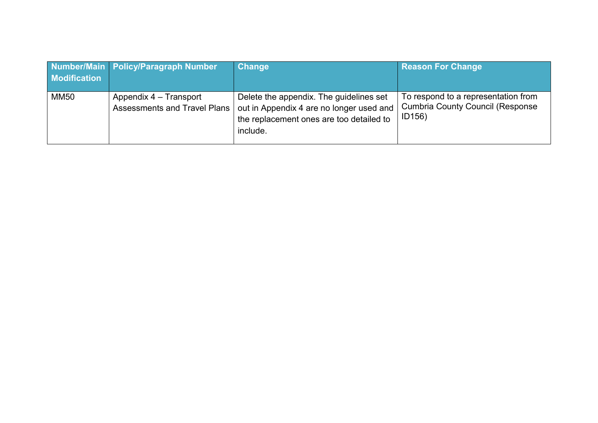| <b>Modification</b> | Number/Main Policy/Paragraph Number                           | <b>Change</b>                                                                                                                               | <b>Reason For Change</b>                                                                  |
|---------------------|---------------------------------------------------------------|---------------------------------------------------------------------------------------------------------------------------------------------|-------------------------------------------------------------------------------------------|
| <b>MM50</b>         | Appendix 4 – Transport<br><b>Assessments and Travel Plans</b> | Delete the appendix. The guidelines set<br>out in Appendix 4 are no longer used and<br>the replacement ones are too detailed to<br>include. | To respond to a representation from<br><b>Cumbria County Council (Response)</b><br>ID156) |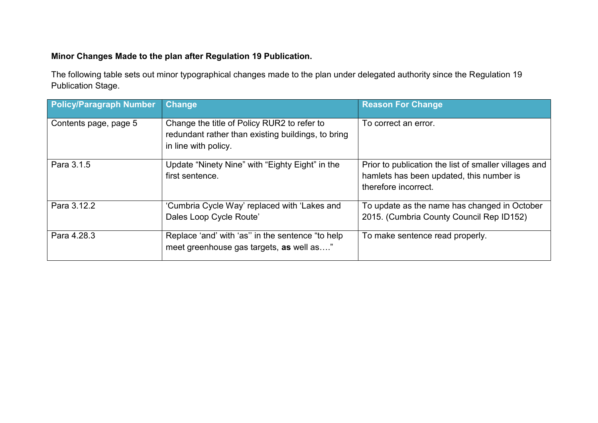## **Minor Changes Made to the plan after Regulation 19 Publication.**

The following table sets out minor typographical changes made to the plan under delegated authority since the Regulation 19 Publication Stage.

| <b>Policy/Paragraph Number</b> | <b>Change</b>                                                                                                             | <b>Reason For Change</b>                                                                                                  |
|--------------------------------|---------------------------------------------------------------------------------------------------------------------------|---------------------------------------------------------------------------------------------------------------------------|
| Contents page, page 5          | Change the title of Policy RUR2 to refer to<br>redundant rather than existing buildings, to bring<br>in line with policy. | To correct an error.                                                                                                      |
| Para 3.1.5                     | Update "Ninety Nine" with "Eighty Eight" in the<br>first sentence.                                                        | Prior to publication the list of smaller villages and<br>hamlets has been updated, this number is<br>therefore incorrect. |
| Para 3.12.2                    | 'Cumbria Cycle Way' replaced with 'Lakes and<br>Dales Loop Cycle Route'                                                   | To update as the name has changed in October<br>2015. (Cumbria County Council Rep ID152)                                  |
| Para 4.28.3                    | Replace 'and' with 'as" in the sentence "to help<br>meet greenhouse gas targets, as well as"                              | To make sentence read properly.                                                                                           |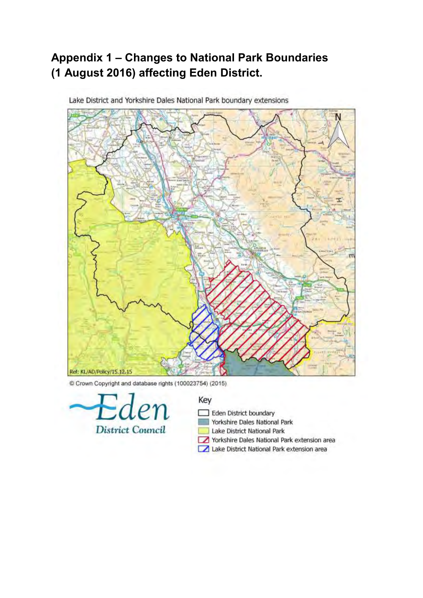## **Appendix 1 – Changes to National Park Boundaries (1 August 2016) affecting Eden District.**



Lake District and Yorkshire Dales National Park boundary extensions

C Crown Copyright and database rights (100023754) (2015)



## Key

- Eden District boundary
- Yorkshire Dales National Park
- Lake District National Park
- Yorkshire Dales National Park extension area
- Lake District National Park extension area